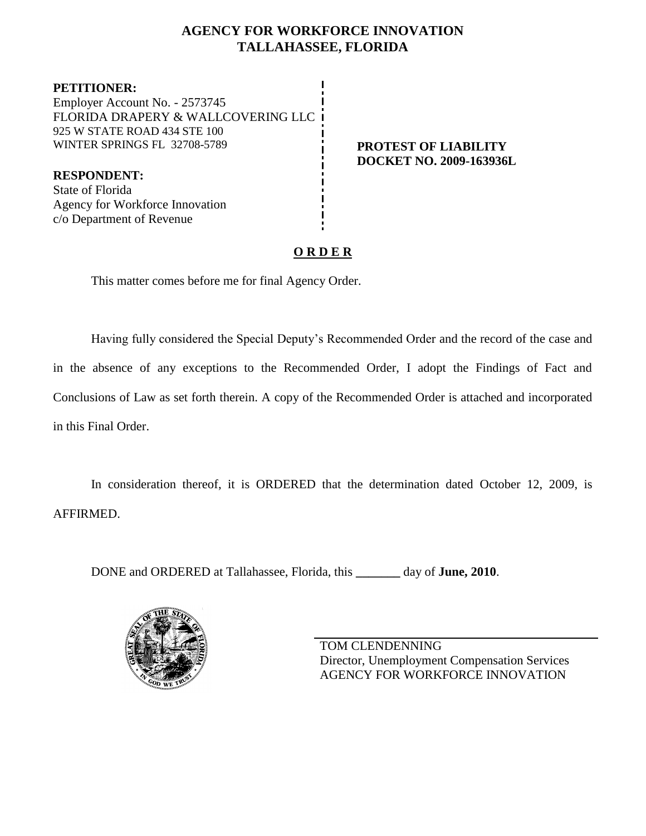## **AGENCY FOR WORKFORCE INNOVATION TALLAHASSEE, FLORIDA**

**PETITIONER:** Employer Account No. - 2573745 FLORIDA DRAPERY & WALLCOVERING LLC 925 W STATE ROAD 434 STE 100 WINTER SPRINGS FL 32708-5789 **PROTEST OF LIABILITY** 

**RESPONDENT:** State of Florida Agency for Workforce Innovation c/o Department of Revenue

# **DOCKET NO. 2009-163936L**

## **O R D E R**

This matter comes before me for final Agency Order.

Having fully considered the Special Deputy's Recommended Order and the record of the case and in the absence of any exceptions to the Recommended Order, I adopt the Findings of Fact and Conclusions of Law as set forth therein. A copy of the Recommended Order is attached and incorporated in this Final Order.

In consideration thereof, it is ORDERED that the determination dated October 12, 2009, is AFFIRMED.

DONE and ORDERED at Tallahassee, Florida, this **\_\_\_\_\_\_\_** day of **June, 2010**.



TOM CLENDENNING Director, Unemployment Compensation Services AGENCY FOR WORKFORCE INNOVATION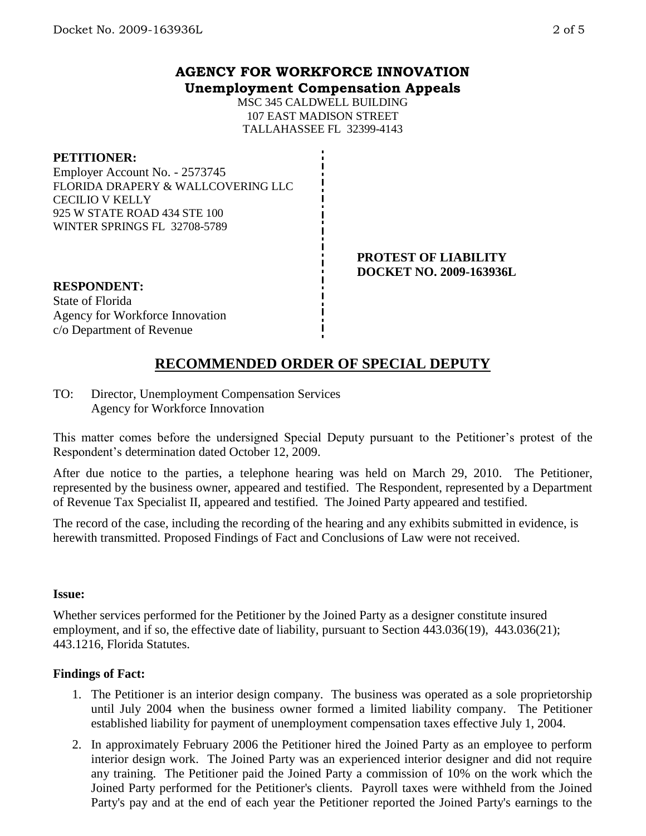### **AGENCY FOR WORKFORCE INNOVATION Unemployment Compensation Appeals**

MSC 345 CALDWELL BUILDING 107 EAST MADISON STREET TALLAHASSEE FL 32399-4143

#### **PETITIONER:**

Employer Account No. - 2573745 FLORIDA DRAPERY & WALLCOVERING LLC CECILIO V KELLY 925 W STATE ROAD 434 STE 100 WINTER SPRINGS FL 32708-5789

> **PROTEST OF LIABILITY DOCKET NO. 2009-163936L**

#### **RESPONDENT:**

State of Florida Agency for Workforce Innovation c/o Department of Revenue

# **RECOMMENDED ORDER OF SPECIAL DEPUTY**

TO: Director, Unemployment Compensation Services Agency for Workforce Innovation

This matter comes before the undersigned Special Deputy pursuant to the Petitioner's protest of the Respondent's determination dated October 12, 2009.

After due notice to the parties, a telephone hearing was held on March 29, 2010. The Petitioner, represented by the business owner, appeared and testified. The Respondent, represented by a Department of Revenue Tax Specialist II, appeared and testified. The Joined Party appeared and testified.

The record of the case, including the recording of the hearing and any exhibits submitted in evidence, is herewith transmitted. Proposed Findings of Fact and Conclusions of Law were not received.

#### **Issue:**

Whether services performed for the Petitioner by the Joined Party as a designer constitute insured employment, and if so, the effective date of liability, pursuant to Section 443.036(19), 443.036(21); 443.1216, Florida Statutes.

#### **Findings of Fact:**

- 1. The Petitioner is an interior design company. The business was operated as a sole proprietorship until July 2004 when the business owner formed a limited liability company. The Petitioner established liability for payment of unemployment compensation taxes effective July 1, 2004.
- 2. In approximately February 2006 the Petitioner hired the Joined Party as an employee to perform interior design work. The Joined Party was an experienced interior designer and did not require any training. The Petitioner paid the Joined Party a commission of 10% on the work which the Joined Party performed for the Petitioner's clients. Payroll taxes were withheld from the Joined Party's pay and at the end of each year the Petitioner reported the Joined Party's earnings to the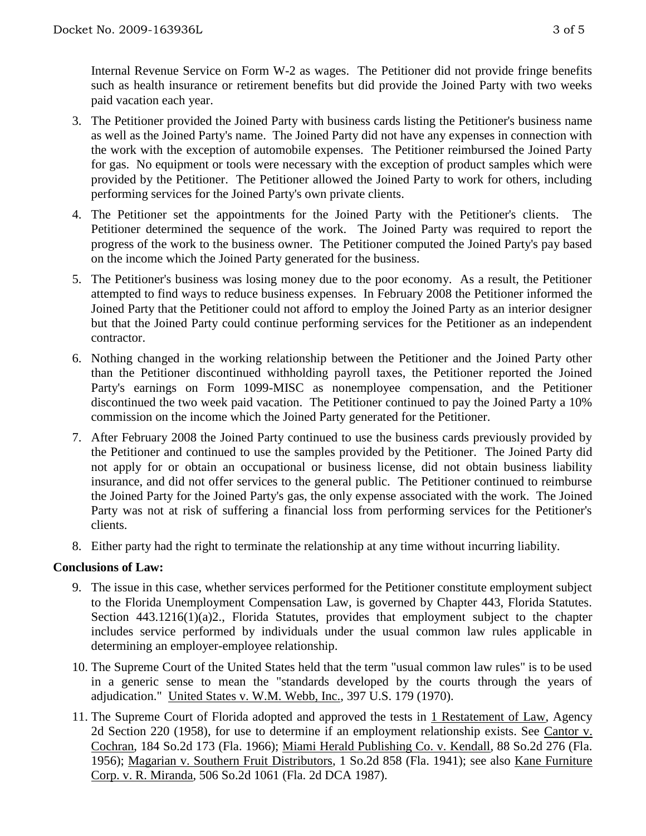Internal Revenue Service on Form W-2 as wages. The Petitioner did not provide fringe benefits such as health insurance or retirement benefits but did provide the Joined Party with two weeks paid vacation each year.

- 3. The Petitioner provided the Joined Party with business cards listing the Petitioner's business name as well as the Joined Party's name. The Joined Party did not have any expenses in connection with the work with the exception of automobile expenses. The Petitioner reimbursed the Joined Party for gas. No equipment or tools were necessary with the exception of product samples which were provided by the Petitioner. The Petitioner allowed the Joined Party to work for others, including performing services for the Joined Party's own private clients.
- 4. The Petitioner set the appointments for the Joined Party with the Petitioner's clients. The Petitioner determined the sequence of the work. The Joined Party was required to report the progress of the work to the business owner. The Petitioner computed the Joined Party's pay based on the income which the Joined Party generated for the business.
- 5. The Petitioner's business was losing money due to the poor economy. As a result, the Petitioner attempted to find ways to reduce business expenses. In February 2008 the Petitioner informed the Joined Party that the Petitioner could not afford to employ the Joined Party as an interior designer but that the Joined Party could continue performing services for the Petitioner as an independent contractor.
- 6. Nothing changed in the working relationship between the Petitioner and the Joined Party other than the Petitioner discontinued withholding payroll taxes, the Petitioner reported the Joined Party's earnings on Form 1099-MISC as nonemployee compensation, and the Petitioner discontinued the two week paid vacation. The Petitioner continued to pay the Joined Party a 10% commission on the income which the Joined Party generated for the Petitioner.
- 7. After February 2008 the Joined Party continued to use the business cards previously provided by the Petitioner and continued to use the samples provided by the Petitioner. The Joined Party did not apply for or obtain an occupational or business license, did not obtain business liability insurance, and did not offer services to the general public. The Petitioner continued to reimburse the Joined Party for the Joined Party's gas, the only expense associated with the work. The Joined Party was not at risk of suffering a financial loss from performing services for the Petitioner's clients.
- 8. Either party had the right to terminate the relationship at any time without incurring liability.

#### **Conclusions of Law:**

- 9. The issue in this case, whether services performed for the Petitioner constitute employment subject to the Florida Unemployment Compensation Law, is governed by Chapter 443, Florida Statutes. Section 443.1216(1)(a)2., Florida Statutes, provides that employment subject to the chapter includes service performed by individuals under the usual common law rules applicable in determining an employer-employee relationship.
- 10. The Supreme Court of the United States held that the term "usual common law rules" is to be used in a generic sense to mean the "standards developed by the courts through the years of adjudication." United States v. W.M. Webb, Inc., 397 U.S. 179 (1970).
- 11. The Supreme Court of Florida adopted and approved the tests in 1 Restatement of Law, Agency 2d Section 220 (1958), for use to determine if an employment relationship exists. See Cantor v. Cochran, 184 So.2d 173 (Fla. 1966); Miami Herald Publishing Co. v. Kendall, 88 So.2d 276 (Fla. 1956); Magarian v. Southern Fruit Distributors, 1 So.2d 858 (Fla. 1941); see also Kane Furniture Corp. v. R. Miranda, 506 So.2d 1061 (Fla. 2d DCA 1987).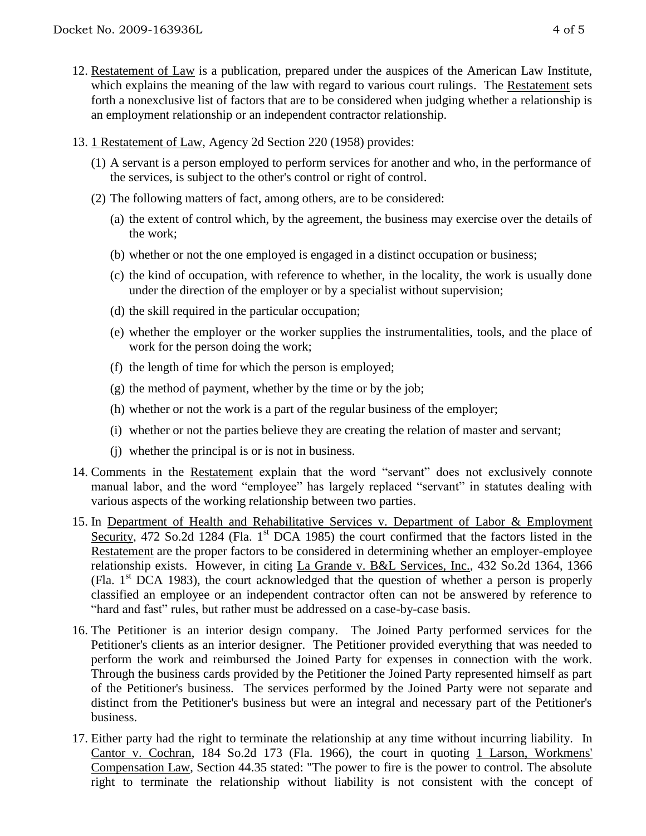- 12. Restatement of Law is a publication, prepared under the auspices of the American Law Institute, which explains the meaning of the law with regard to various court rulings. The Restatement sets forth a nonexclusive list of factors that are to be considered when judging whether a relationship is an employment relationship or an independent contractor relationship.
- 13. 1 Restatement of Law, Agency 2d Section 220 (1958) provides:
	- (1) A servant is a person employed to perform services for another and who, in the performance of the services, is subject to the other's control or right of control.
	- (2) The following matters of fact, among others, are to be considered:
		- (a) the extent of control which, by the agreement, the business may exercise over the details of the work;
		- (b) whether or not the one employed is engaged in a distinct occupation or business;
		- (c) the kind of occupation, with reference to whether, in the locality, the work is usually done under the direction of the employer or by a specialist without supervision;
		- (d) the skill required in the particular occupation;
		- (e) whether the employer or the worker supplies the instrumentalities, tools, and the place of work for the person doing the work;
		- (f) the length of time for which the person is employed;
		- (g) the method of payment, whether by the time or by the job;
		- (h) whether or not the work is a part of the regular business of the employer;
		- (i) whether or not the parties believe they are creating the relation of master and servant;
		- (j) whether the principal is or is not in business.
- 14. Comments in the Restatement explain that the word "servant" does not exclusively connote manual labor, and the word "employee" has largely replaced "servant" in statutes dealing with various aspects of the working relationship between two parties.
- 15. In Department of Health and Rehabilitative Services v. Department of Labor & Employment Security, 472 So.2d 1284 (Fla. 1<sup>st</sup> DCA 1985) the court confirmed that the factors listed in the Restatement are the proper factors to be considered in determining whether an employer-employee relationship exists. However, in citing La Grande v. B&L Services, Inc., 432 So.2d 1364, 1366 (Fla.  $1<sup>st</sup> DCA$  1983), the court acknowledged that the question of whether a person is properly classified an employee or an independent contractor often can not be answered by reference to "hard and fast" rules, but rather must be addressed on a case-by-case basis.
- 16. The Petitioner is an interior design company. The Joined Party performed services for the Petitioner's clients as an interior designer. The Petitioner provided everything that was needed to perform the work and reimbursed the Joined Party for expenses in connection with the work. Through the business cards provided by the Petitioner the Joined Party represented himself as part of the Petitioner's business. The services performed by the Joined Party were not separate and distinct from the Petitioner's business but were an integral and necessary part of the Petitioner's business.
- 17. Either party had the right to terminate the relationship at any time without incurring liability. In Cantor v. Cochran, 184 So.2d 173 (Fla. 1966), the court in quoting 1 Larson, Workmens' Compensation Law, Section 44.35 stated: "The power to fire is the power to control. The absolute right to terminate the relationship without liability is not consistent with the concept of